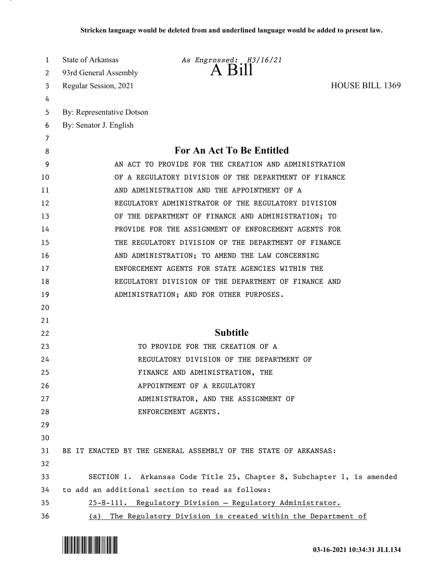| 1  | <b>State of Arkansas</b><br>As Engrossed: H3/16/21                     |  |
|----|------------------------------------------------------------------------|--|
| 2  | 93rd General Assembly                                                  |  |
| 3  | <b>HOUSE BILL 1369</b><br>Regular Session, 2021                        |  |
| 4  |                                                                        |  |
| 5  | By: Representative Dotson                                              |  |
| 6  | By: Senator J. English                                                 |  |
| 7  |                                                                        |  |
| 8  | For An Act To Be Entitled                                              |  |
| 9  | AN ACT TO PROVIDE FOR THE CREATION AND ADMINISTRATION                  |  |
| 10 | OF A REGULATORY DIVISION OF THE DEPARTMENT OF FINANCE                  |  |
| 11 | AND ADMINISTRATION AND THE APPOINTMENT OF A                            |  |
| 12 | REGULATORY ADMINISTRATOR OF THE REGULATORY DIVISION                    |  |
| 13 | OF THE DEPARTMENT OF FINANCE AND ADMINISTRATION; TO                    |  |
| 14 | PROVIDE FOR THE ASSIGNMENT OF ENFORCEMENT AGENTS FOR                   |  |
| 15 | THE REGULATORY DIVISION OF THE DEPARTMENT OF FINANCE                   |  |
| 16 | AND ADMINISTRATION; TO AMEND THE LAW CONCERNING                        |  |
| 17 | ENFORCEMENT AGENTS FOR STATE AGENCIES WITHIN THE                       |  |
| 18 | REGULATORY DIVISION OF THE DEPARTMENT OF FINANCE AND                   |  |
| 19 | ADMINISTRATION; AND FOR OTHER PURPOSES.                                |  |
| 20 |                                                                        |  |
| 21 |                                                                        |  |
| 22 | <b>Subtitle</b>                                                        |  |
| 23 | TO PROVIDE FOR THE CREATION OF A                                       |  |
| 24 | REGULATORY DIVISION OF THE DEPARTMENT OF                               |  |
| 25 | FINANCE AND ADMINISTRATION, THE                                        |  |
| 26 | APPOINTMENT OF A REGULATORY                                            |  |
| 27 | ADMINISTRATOR, AND THE ASSIGNMENT OF                                   |  |
| 28 | ENFORCEMENT AGENTS.                                                    |  |
| 29 |                                                                        |  |
| 30 |                                                                        |  |
| 31 | BE IT ENACTED BY THE GENERAL ASSEMBLY OF THE STATE OF ARKANSAS:        |  |
| 32 |                                                                        |  |
| 33 | SECTION 1. Arkansas Code Title 25, Chapter 8, Subchapter 1, is amended |  |
| 34 | to add an additional section to read as follows:                       |  |
| 35 | 25-8-111. Regulatory Division - Regulatory Administrator.              |  |
| 36 | (a) The Regulatory Division is created within the Department of        |  |

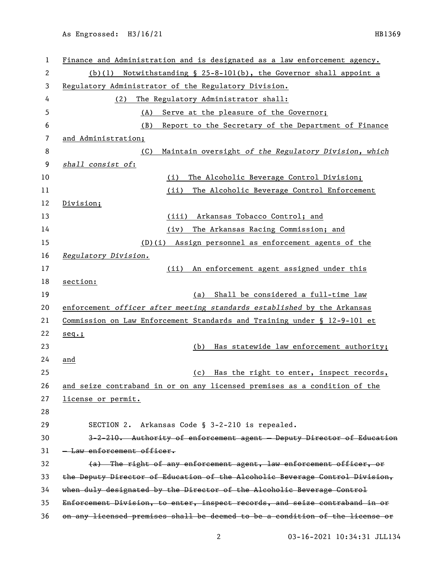| $\mathbf{1}$ | Finance and Administration and is designated as a law enforcement agency.    |
|--------------|------------------------------------------------------------------------------|
| 2            | Notwithstanding § $25-8-101(b)$ , the Governor shall appoint a<br>(b)(1)     |
| 3            | Regulatory Administrator of the Regulatory Division.                         |
| 4            | The Regulatory Administrator shall:<br>(2)                                   |
| 5            | (A)<br>Serve at the pleasure of the Governor;                                |
| 6            | (B)<br>Report to the Secretary of the Department of Finance                  |
| 7            | and Administration;                                                          |
| 8            | Maintain oversight of the Regulatory Division, which<br>(C)                  |
| 9            | shall consist of:                                                            |
| 10           | (i)<br>The Alcoholic Beverage Control Division;                              |
| 11           | The Alcoholic Beverage Control Enforcement<br>(ii)                           |
| 12           | Division;                                                                    |
| 13           | Arkansas Tobacco Control; and<br>(iii)                                       |
| 14           | The Arkansas Racing Commission; and<br>(iv)                                  |
| 15           | (D)(i) Assign personnel as enforcement agents of the                         |
| 16           | Regulatory Division.                                                         |
| 17           | An enforcement agent assigned under this<br>(ii)                             |
| 18           | section:                                                                     |
| 19           | (a) Shall be considered a full-time law                                      |
| 20           | enforcement officer after meeting standards established by the Arkansas      |
| 21           | Commission on Law Enforcement Standards and Training under § 12-9-101 et     |
| 22           | $seq.$ ;                                                                     |
| 23           | Has statewide law enforcement authority;<br>(b)                              |
| 24           | and                                                                          |
| 25           | Has the right to enter, inspect records,<br>(c)                              |
| 26           | and seize contraband in or on any licensed premises as a condition of the    |
| 27           | license or permit.                                                           |
| 28           |                                                                              |
| 29           | Arkansas Code § 3-2-210 is repealed.<br>SECTION 2.                           |
| 30           | 3-2-210. Authority of enforcement agent - Deputy Director of Education       |
| 31           | - Law enforcement officer.                                                   |
| 32           | (a) The right of any enforcement agent, law enforcement officer, or          |
| 33           | the Deputy Director of Education of the Alcoholic Beverage Control Division, |
| 34           | when duly designated by the Director of the Alcoholic Beverage Control       |
| 35           | Enforcement Division, to enter, inspect records, and seize contraband in or  |
| 36           | on any licensed premises shall be deemed to be a condition of the license or |